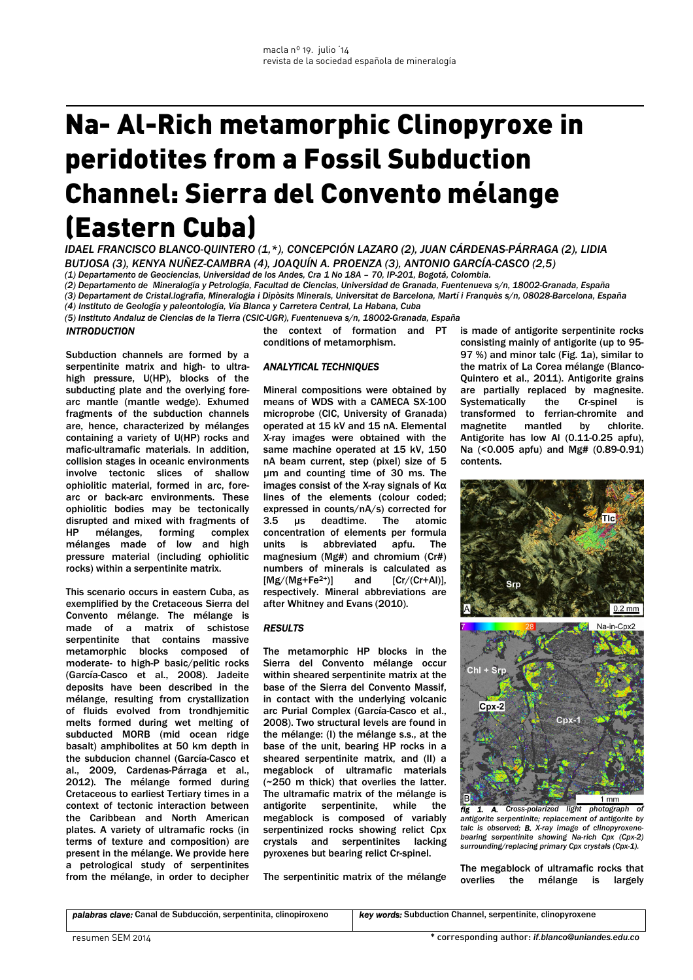# Na- Al-Rich metamorphic Clinopyroxe in peridotites from a Fossil Subduction Channel: Sierra del Convento mélange (Eastern Cuba)

*IDAEL FRANCISCO BLANCO-QUINTERO (1,\*), CONCEPCIÓN LAZARO (2), JUAN CÁRDENAS-PÁRRAGA (2), LIDIA BUTJOSA (3), KENYA NUÑEZ-CAMBRA (4), JOAQUÍN A. PROENZA (3), ANTONIO GARCÍA-CASCO (2,5)* 

*(1) Departamento de Geociencias, Universidad de los Andes, Cra 1 No 18A – 70, IP-201, Bogotá, Colombia.*

*(2) Departamento de Mineralogía y Petrología, Facultad de Ciencias, Universidad de Granada, Fuentenueva s/n, 18002-Granada, España (3) Departament de Cristal.lografia, Mineralogia i Dipòsits Minerals, Universitat de Barcelona, Martí i Franquès s/n, 08028-Barcelona, España (4) Instituto de Geología y paleontología, Vía Blanca y Carretera Central, La Habana, Cuba* 

*(5) Instituto Andaluz de Ciencias de la Tierra (CSIC-UGR), Fuentenueva s/n, 18002-Granada, España* 

## *INTRODUCTION*

Subduction channels are formed by a serpentinite matrix and high- to ultrahigh pressure, U(HP), blocks of the subducting plate and the overlying forearc mantle (mantle wedge). Exhumed fragments of the subduction channels are, hence, characterized by mélanges containing a variety of U(HP) rocks and mafic-ultramafic materials. In addition, collision stages in oceanic environments involve tectonic slices of shallow ophiolitic material, formed in arc, forearc or back-arc environments. These ophiolitic bodies may be tectonically disrupted and mixed with fragments of HP mélanges, forming complex mélanges made of low and high pressure material (including ophiolitic rocks) within a serpentinite matrix.

This scenario occurs in eastern Cuba, as exemplified by the Cretaceous Sierra del Convento mélange. The mélange is made of a matrix of schistose serpentinite that contains massive metamorphic blocks composed of moderate- to high-P basic/pelitic rocks (García-Casco et al., 2008). Jadeite deposits have been described in the mélange, resulting from crystallization of fluids evolved from trondhjemitic melts formed during wet melting of subducted MORB (mid ocean ridge basalt) amphibolites at 50 km depth in the subducion channel (García-Casco et al., 2009, Cardenas-Párraga et al., 2012). The mélange formed during Cretaceous to earliest Tertiary times in a context of tectonic interaction between the Caribbean and North American plates. A variety of ultramafic rocks (in terms of texture and composition) are present in the mélange. We provide here a petrological study of serpentinites from the mélange, in order to decipher the context of formation and PT conditions of metamorphism.

## *ANALYTICAL TECHNIQUES*

Mineral compositions were obtained by means of WDS with a CAMECA SX-100 microprobe (CIC, University of Granada) operated at 15 kV and 15 nA. Elemental X-ray images were obtained with the same machine operated at 15 kV, 150 nA beam current, step (pixel) size of 5 µm and counting time of 30 ms. The images consist of the X-ray signals of Kα lines of the elements (colour coded; expressed in counts/nA/s) corrected for 3.5 µs deadtime. The atomic concentration of elements per formula units is abbreviated apfu. The magnesium (Mg#) and chromium (Cr#) numbers of minerals is calculated as  $[Mg/(Mg+Fe<sup>2+</sup>)]$  and  $[Cr/(Cr+A)]$ , respectively. Mineral abbreviations are after Whitney and Evans (2010).

## *RESULTS*

The metamorphic HP blocks in the Sierra del Convento mélange occur within sheared serpentinite matrix at the base of the Sierra del Convento Massif, in contact with the underlying volcanic arc Purial Complex (García-Casco et al., 2008). Two structural levels are found in the mélange: (I) the mélange s.s., at the base of the unit, bearing HP rocks in a sheared serpentinite matrix, and (II) a megablock of ultramafic materials (~250 m thick) that overlies the latter. The ultramafic matrix of the mélange is antigorite serpentinite, while the megablock is composed of variably serpentinized rocks showing relict Cpx crystals and serpentinites lacking pyroxenes but bearing relict Cr-spinel.

The serpentinitic matrix of the mélange

is made of antigorite serpentinite rocks consisting mainly of antigorite (up to 95- 97 %) and minor talc (Fig. 1a), similar to the matrix of La Corea mélange (Blanco-Quintero et al., 2011). Antigorite grains are partially replaced by magnesite. Systematically the Cr-spinel is transformed to ferrian-chromite and magnetite mantled by chlorite. Antigorite has low Al (0.11-0.25 apfu), Na (<0.005 apfu) and Mg# (0.89-0.91) contents.



1. A. Cross-polarized light photograph *antigorite serpentinite; replacement of antigorite by talc is observed; B. X-ray image of clinopyroxene-bearing serpentinite showing Na-rich Cpx (Cpx-2) surrounding/replacing primary Cpx crystals (Cpx-1).*

The megablock of ultramafic rocks that overlies the mélange is largely